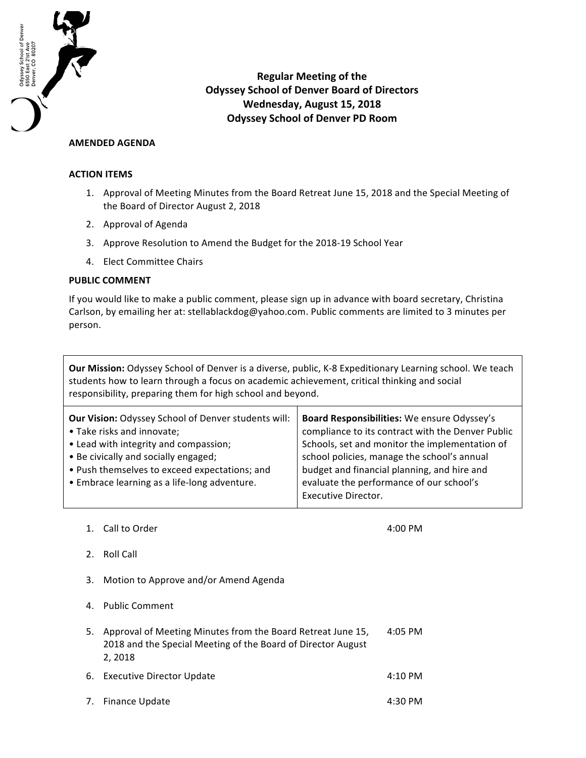

**Regular Meeting of the Odyssey School of Denver Board of Directors Wednesday, August 15, 2018 Odyssey School of Denver PD Room**

## **AMENDED AGENDA**

## **ACTION ITEMS**

- 1. Approval of Meeting Minutes from the Board Retreat June 15, 2018 and the Special Meeting of the Board of Director August 2, 2018
- 2. Approval of Agenda
- 3. Approve Resolution to Amend the Budget for the 2018-19 School Year
- 4. Elect Committee Chairs

## **PUBLIC COMMENT**

If you would like to make a public comment, please sign up in advance with board secretary, Christina Carlson, by emailing her at: stellablackdog@yahoo.com. Public comments are limited to 3 minutes per person.

**Our Mission:** Odyssey School of Denver is a diverse, public, K-8 Expeditionary Learning school. We teach students how to learn through a focus on academic achievement, critical thinking and social responsibility, preparing them for high school and beyond.

| Board Responsibilities: We ensure Odyssey's<br>compliance to its contract with the Denver Public<br>Schools, set and monitor the implementation of<br>school policies, manage the school's annual<br>budget and financial planning, and hire and<br>evaluate the performance of our school's |
|----------------------------------------------------------------------------------------------------------------------------------------------------------------------------------------------------------------------------------------------------------------------------------------------|
| <b>Executive Director.</b>                                                                                                                                                                                                                                                                   |
|                                                                                                                                                                                                                                                                                              |

1. Call to Order 1. The contract of the contract of the contract of the contract of the contract of the contract of the contract of the contract of the contract of the contract of the contract of the contract of the contra

- 2. Roll Call
- 3. Motion to Approve and/or Amend Agenda
- 4. Public Comment

| 2.2018                                                         |           |
|----------------------------------------------------------------|-----------|
| 2018 and the Special Meeting of the Board of Director August   |           |
| 5. Approval of Meeting Minutes from the Board Retreat June 15, | $4:05$ PM |

- 6. Executive Director Update **4:10 PM**
- 7. Finance Update **4:30 PM**